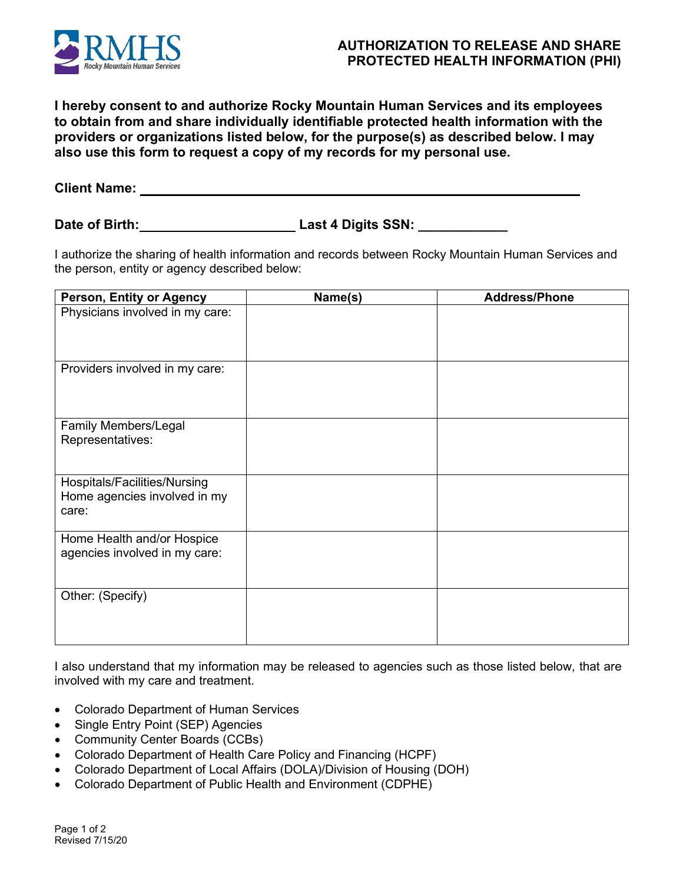

## **AUTHORIZATION TO RELEASE AND SHARE PROTECTED HEALTH INFORMATION (PHI)**

**I hereby consent to and authorize Rocky Mountain Human Services and its employees to obtain from and share individually identifiable protected health information with the providers or organizations listed below, for the purpose(s) as described below. I may also use this form to request a copy of my records for my personal use.**

**Client Name:** 

**Date of Birth: Last 4 Digits SSN: \_\_\_\_\_\_\_\_\_\_\_\_**

I authorize the sharing of health information and records between Rocky Mountain Human Services and the person, entity or agency described below:

| Person, Entity or Agency                                              | Name(s) | <b>Address/Phone</b> |
|-----------------------------------------------------------------------|---------|----------------------|
| Physicians involved in my care:                                       |         |                      |
| Providers involved in my care:                                        |         |                      |
| Family Members/Legal<br>Representatives:                              |         |                      |
| Hospitals/Facilities/Nursing<br>Home agencies involved in my<br>care: |         |                      |
| Home Health and/or Hospice<br>agencies involved in my care:           |         |                      |
| Other: (Specify)                                                      |         |                      |

I also understand that my information may be released to agencies such as those listed below, that are involved with my care and treatment.

- Colorado Department of Human Services
- Single Entry Point (SEP) Agencies
- Community Center Boards (CCBs)
- Colorado Department of Health Care Policy and Financing (HCPF)
- Colorado Department of Local Affairs (DOLA)/Division of Housing (DOH)
- Colorado Department of Public Health and Environment (CDPHE)